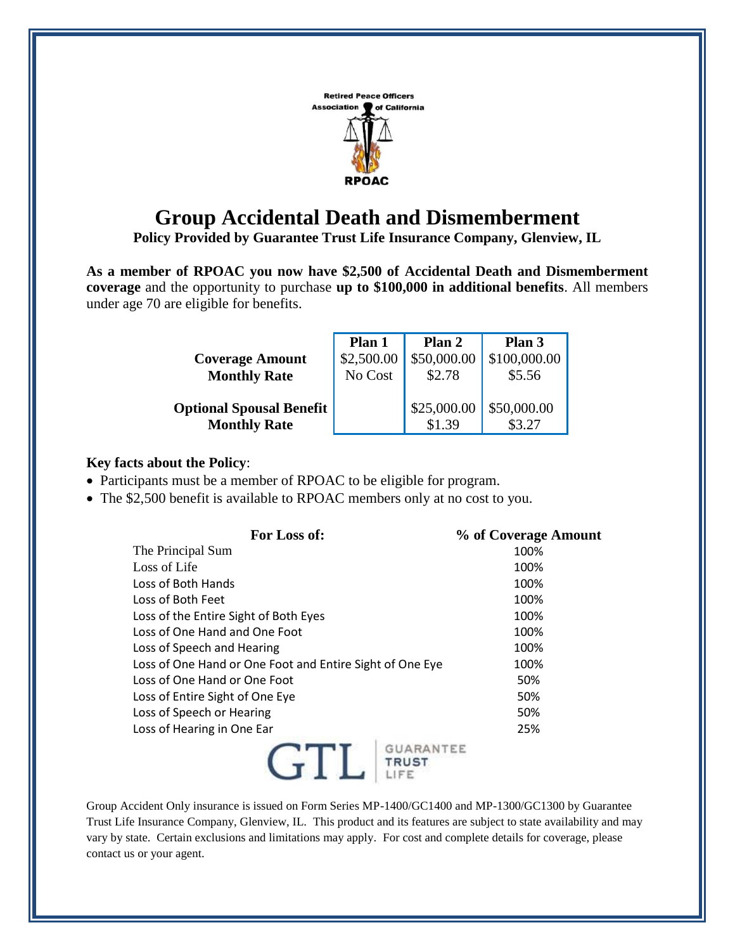

## **Group Accidental Death and Dismemberment**

**Policy Provided by Guarantee Trust Life Insurance Company, Glenview, IL**

**As a member of RPOAC you now have \$2,500 of Accidental Death and Dismemberment coverage** and the opportunity to purchase **up to \$100,000 in additional benefits**. All members under age 70 are eligible for benefits.

|                                 | Plan 1     | Plan 2      | Plan 3       |
|---------------------------------|------------|-------------|--------------|
| <b>Coverage Amount</b>          | \$2,500.00 |             | \$100,000.00 |
| <b>Monthly Rate</b>             | No Cost    | \$2.78      | \$5.56       |
|                                 |            |             |              |
| <b>Optional Spousal Benefit</b> |            | \$25,000.00 | \$50,000.00  |
| <b>Monthly Rate</b>             |            | \$1.39      |              |

## **Key facts about the Policy**:

- Participants must be a member of RPOAC to be eligible for program.
- The \$2,500 benefit is available to RPOAC members only at no cost to you.

| For Loss of:                                             | % of Coverage Amount |
|----------------------------------------------------------|----------------------|
| The Principal Sum                                        | 100%                 |
| Loss of Life                                             | 100%                 |
| Loss of Both Hands                                       | 100%                 |
| Loss of Both Feet                                        | 100%                 |
| Loss of the Entire Sight of Both Eyes                    | 100%                 |
| Loss of One Hand and One Foot                            | 100%                 |
| Loss of Speech and Hearing                               | 100%                 |
| Loss of One Hand or One Foot and Entire Sight of One Eye | 100%                 |
| Loss of One Hand or One Foot                             | 50%                  |
| Loss of Entire Sight of One Eye                          | 50%                  |
| Loss of Speech or Hearing                                | 50%                  |
| Loss of Hearing in One Ear                               | 25%                  |
| <b>GUARANTEE</b>                                         |                      |

Group Accident Only insurance is issued on Form Series MP-1400/GC1400 and MP-1300/GC1300 by Guarantee Trust Life Insurance Company, Glenview, IL. This product and its features are subject to state availability and may vary by state. Certain exclusions and limitations may apply. For cost and complete details for coverage, please contact us or your agent.